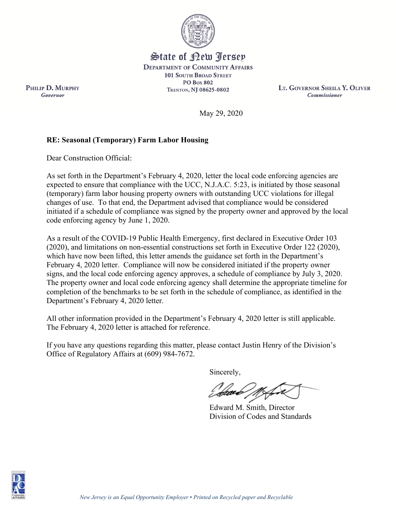

State of Rew <u>Perse</u>p **DEPARTMENT OF COMMUNITY AFFAIRS 101 SOUTH BROAD STREET PO Box 802 TRENTON, NJ 08625-0802** 

**LT. GOVERNOR SHEILA Y. OLIVER Commissioner** 

May 29, 2020

## **RE: Seasonal (Temporary) Farm Labor Housing**

Dear Construction Official:

PHILIP D. MURPHY

Governor

As set forth in the Department's February 4, 2020, letter the local code enforcing agencies are expected to ensure that compliance with the UCC, N.J.A.C. 5:23, is initiated by those seasonal (temporary) farm labor housing property owners with outstanding UCC violations for illegal changes of use. To that end, the Department advised that compliance would be considered initiated if a schedule of compliance was signed by the property owner and approved by the local code enforcing agency by June 1, 2020.

As a result of the COVID-19 Public Health Emergency, first declared in Executive Order 103 (2020), and limitations on non-essential constructions set forth in Executive Order 122 (2020), which have now been lifted, this letter amends the guidance set forth in the Department's February 4, 2020 letter. Compliance will now be considered initiated if the property owner signs, and the local code enforcing agency approves, a schedule of compliance by July 3, 2020. The property owner and local code enforcing agency shall determine the appropriate timeline for completion of the benchmarks to be set forth in the schedule of compliance, as identified in the Department's February 4, 2020 letter.

All other information provided in the Department's February 4, 2020 letter is still applicable. The February 4, 2020 letter is attached for reference.

If you have any questions regarding this matter, please contact Justin Henry of the Division's Office of Regulatory Affairs at (609) 984-7672.

Sincerely,

Edward M. Smith, Director Division of Codes and Standards

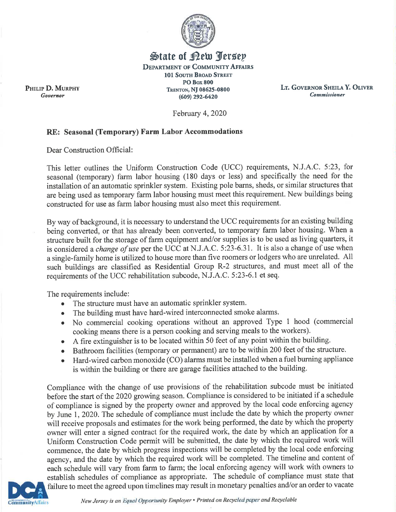

## State of Rew Persep **DEPARTMENT OF COMMUNITY AFFAIRS** 101 SOUTH BROAD STREET **PO Box 800** TRENTON, NJ 08625-0800  $(609)$  292-6420

LT. GOVERNOR SHEILA Y. OLIVER **Commissioner** 

February 4, 2020

## RE: Seasonal (Temporary) Farm Labor Accommodations

Dear Construction Official:

PHILIP D. MURPHY

Governor

This letter outlines the Uniform Construction Code (UCC) requirements, N.J.A.C. 5:23, for seasonal (temporary) farm labor housing (180 days or less) and specifically the need for the installation of an automatic sprinkler system. Existing pole barns, sheds, or similar structures that are being used as temporary farm labor housing must meet this requirement. New buildings being constructed for use as farm labor housing must also meet this requirement.

By way of background, it is necessary to understand the UCC requirements for an existing building being converted, or that has already been converted, to temporary farm labor housing. When a structure built for the storage of farm equipment and/or supplies is to be used as living quarters, it is considered a *change of use* per the UCC at N.J.A.C. 5:23-6.31. It is also a change of use when a single-family home is utilized to house more than five roomers or lodgers who are unrelated. All such buildings are classified as Residential Group R-2 structures, and must meet all of the requirements of the UCC rehabilitation subcode, N.J.A.C. 5:23-6.1 et seq.

The requirements include:

- The structure must have an automatic sprinkler system.  $\bullet$
- The building must have hard-wired interconnected smoke alarms.  $\bullet$
- No commercial cooking operations without an approved Type 1 hood (commercial cooking means there is a person cooking and serving meals to the workers).
- A fire extinguisher is to be located within 50 feet of any point within the building.
- Bathroom facilities (temporary or permanent) are to be within 200 feet of the structure.  $\bullet$
- Hard-wired carbon monoxide (CO) alarms must be installed when a fuel burning appliance  $\bullet$ is within the building or there are garage facilities attached to the building.

Compliance with the change of use provisions of the rehabilitation subcode must be initiated before the start of the 2020 growing season. Compliance is considered to be initiated if a schedule of compliance is signed by the property owner and approved by the local code enforcing agency by June 1, 2020. The schedule of compliance must include the date by which the property owner will receive proposals and estimates for the work being performed, the date by which the property owner will enter a signed contract for the required work, the date by which an application for a Uniform Construction Code permit will be submitted, the date by which the required work will commence, the date by which progress inspections will be completed by the local code enforcing agency, and the date by which the required work will be completed. The timeline and content of each schedule will vary from farm to farm; the local enforcing agency will work with owners to establish schedules of compliance as appropriate. The schedule of compliance must state that failure to meet the agreed upon timelines may result in monetary penalties and/or an order to vacate